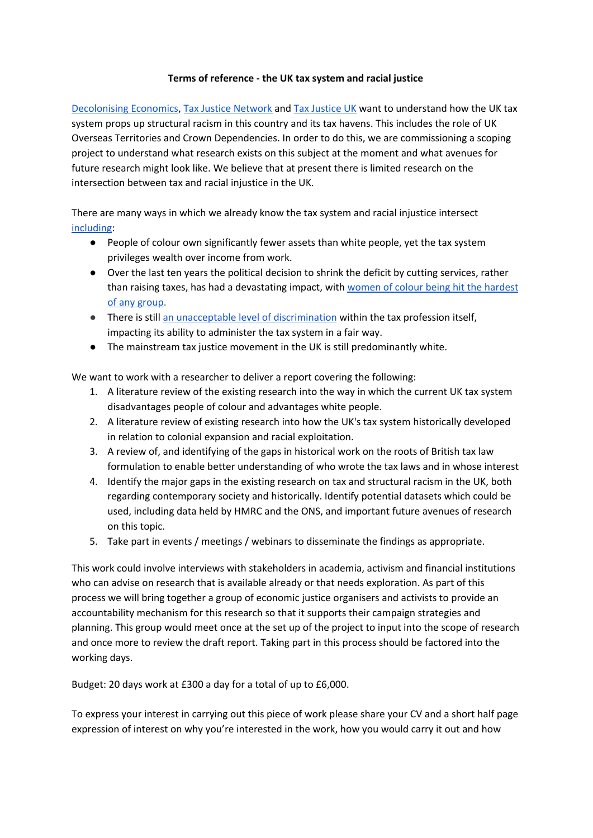## **Terms of reference - the UK tax system and racial justice**

[Decolonising](https://guppibola.com/portfolio/co-founder-of-decolonising-economics/#:~:text=Guppi%20and%20Noni%20are%20now,processes%20that%20embody%20racial%20justice.) Economics, Tax Justice [Network](https://www.taxjustice.net/) and Tax [Justice](https://www.taxjustice.uk/) UK want to understand how the UK tax system props up structural racism in this country and its tax havens. This includes the role of UK Overseas Territories and Crown Dependencies. In order to do this, we are commissioning a scoping project to understand what research exists on this subject at the moment and what avenues for future research might look like. We believe that at present there is limited research on the intersection between tax and racial injustice in the UK.

There are many ways in which we already know the tax system and racial injustice intersect [including:](https://www.taxjustice.uk/blog/why-fixing-the-tax-system-is-crucial-to-achieving-racial-justice)

- People of colour own significantly fewer assets than white people, yet the tax system privileges wealth over income from work.
- Over the last ten years the political decision to shrink the deficit by cutting services, rather than raising taxes, has had a devastating impact, with women of colour being hit the [hardest](http://runnymedetrust.org/projects-and-publications/employment-3/race-gender-and-austerity.html) of any [group](http://runnymedetrust.org/projects-and-publications/employment-3/race-gender-and-austerity.html).
- There is still an unacceptable level of [discrimination](https://www.internationaltaxreview.com/article/b1m0s9hjs03pdl/tax-sector-is-failing-to-address-racism) within the tax profession itself, impacting its ability to administer the tax system in a fair way.
- The mainstream tax justice movement in the UK is still predominantly white.

We want to work with a researcher to deliver a report covering the following:

- 1. A literature review of the existing research into the way in which the current UK tax system disadvantages people of colour and advantages white people.
- 2. A literature review of existing research into how the UK's tax system historically developed in relation to colonial expansion and racial exploitation.
- 3. A review of, and identifying of the gaps in historical work on the roots of British tax law formulation to enable better understanding of who wrote the tax laws and in whose interest
- 4. Identify the major gaps in the existing research on tax and structural racism in the UK, both regarding contemporary society and historically. Identify potential datasets which could be used, including data held by HMRC and the ONS, and important future avenues of research on this topic.
- 5. Take part in events / meetings / webinars to disseminate the findings as appropriate.

This work could involve interviews with stakeholders in academia, activism and financial institutions who can advise on research that is available already or that needs exploration. As part of this process we will bring together a group of economic justice organisers and activists to provide an accountability mechanism for this research so that it supports their campaign strategies and planning. This group would meet once at the set up of the project to input into the scope of research and once more to review the draft report. Taking part in this process should be factored into the working days.

Budget: 20 days work at £300 a day for a total of up to £6,000.

To express your interest in carrying out this piece of work please share your CV and a short half page expression of interest on why you're interested in the work, how you would carry it out and how